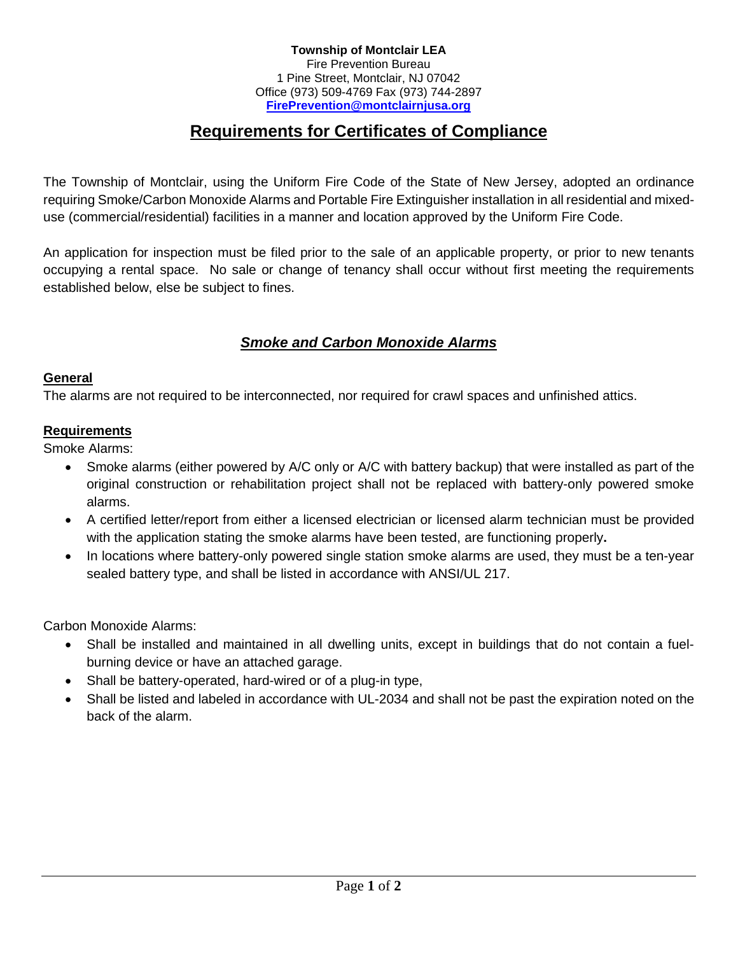#### **Township of Montclair LEA** Fire Prevention Bureau 1 Pine Street, Montclair, NJ 07042 Office (973) 509-4769 Fax (973) 744-2897 **[FirePrevention@montclairnjusa.org](mailto:FirePrevention@montclairnjusa.org)**

# **Requirements for Certificates of Compliance**

The Township of Montclair, using the Uniform Fire Code of the State of New Jersey, adopted an ordinance requiring Smoke/Carbon Monoxide Alarms and Portable Fire Extinguisher installation in all residential and mixeduse (commercial/residential) facilities in a manner and location approved by the Uniform Fire Code.

An application for inspection must be filed prior to the sale of an applicable property, or prior to new tenants occupying a rental space. No sale or change of tenancy shall occur without first meeting the requirements established below, else be subject to fines.

## *Smoke and Carbon Monoxide Alarms*

#### **General**

The alarms are not required to be interconnected, nor required for crawl spaces and unfinished attics.

#### **Requirements**

Smoke Alarms:

- Smoke alarms (either powered by A/C only or A/C with battery backup) that were installed as part of the original construction or rehabilitation project shall not be replaced with battery-only powered smoke alarms.
- A certified letter/report from either a licensed electrician or licensed alarm technician must be provided with the application stating the smoke alarms have been tested, are functioning properly**.**
- In locations where battery-only powered single station smoke alarms are used, they must be a ten-year sealed battery type, and shall be listed in accordance with ANSI/UL 217.

Carbon Monoxide Alarms:

- Shall be installed and maintained in all dwelling units, except in buildings that do not contain a fuelburning device or have an attached garage.
- Shall be battery-operated, hard-wired or of a plug-in type,
- Shall be listed and labeled in accordance with UL-2034 and shall not be past the expiration noted on the back of the alarm.